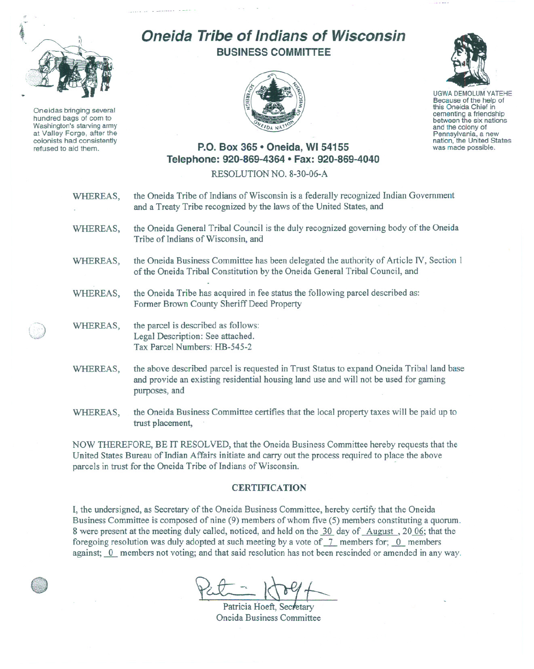

Oneidas bringing several hundred bags of com to Washington's starving army at Valley Forge, after the colonists had consistently refused to aid them.

## **Oneida Tribe of Indians of Wisconsin BUSINESS COMMITTEE**





UGWA DEMOLUM YATEHE Because of the help of this Oneida Chief in<br>cementing a friendship between the six nations and the colony of<br>Pennsylvania, a new nation, the United States was made possible.

## **P.O. Box 365 • Oneida, WI 54155 Telephone: 920-869-4364 • Fax: 920-869-4040**

RESOLUTION NO. 8-30-06-A

- WHEREAS, the Oneida Tribe of Indians of Wisconsin is a federally recognized Indian Government and a Treaty Tribe recognized by the laws of the United States, and
- WHEREAS, the Oneida General Tribal Council is the duly recognized governing body of the Oneida Tribe of Indians of Wisconsin, and
- WHEREAS, the Oneida Business Committee has been delegated the authority of Article IV, Section I of the Oneida Tribal Constitution by the Oneida General Tribal Council, and
- WHEREAS, the Oneida Tribe has acquired in fee status the following parcel described as: Former Brown County Sheriff Deed Property
- WHEREAS, the parcel is described as follows:<br>Legal Description: See attached. Tax Parcel Numbers: HB-545-2
- WHEREAS, the above described parcel is requested in Trust Status to expand Oneida Tribal land base and provide an existing residential housing land use and will not be used for gaming purposes, and
- WHEREAS, the Oneida Business Committee certifies that the local property taxes will be paid up to trust placement,

NOW THEREFORE, BE IT RESOLVED, that the Oneida Business Committee hereby requests that the United States Bureau of Indian Affairs initiate and carry out the process required to place the above parcels in trust for the Oneida Tribe of Indians of Wisconsin.

## **CERTIFICATION**

I, the undersigned, as Secretary of the Oneida Business Committee, hereby certify that the Oneida Business Committee is composed of nine (9) members of whom five (5) members constituting a quorum. 8 were present at the meeting duly called, noticed, and held on the 30 day of August, 20.06; that the foregoing resolution was duly adopted at such meeting by a vote of  $-7$  members for;  $0$  members against;  $\overline{0}$  members not voting; and that said resolution has not been rescinded or amended in any way.

Patricia Hoeft, Secretary Oneida Business Committee